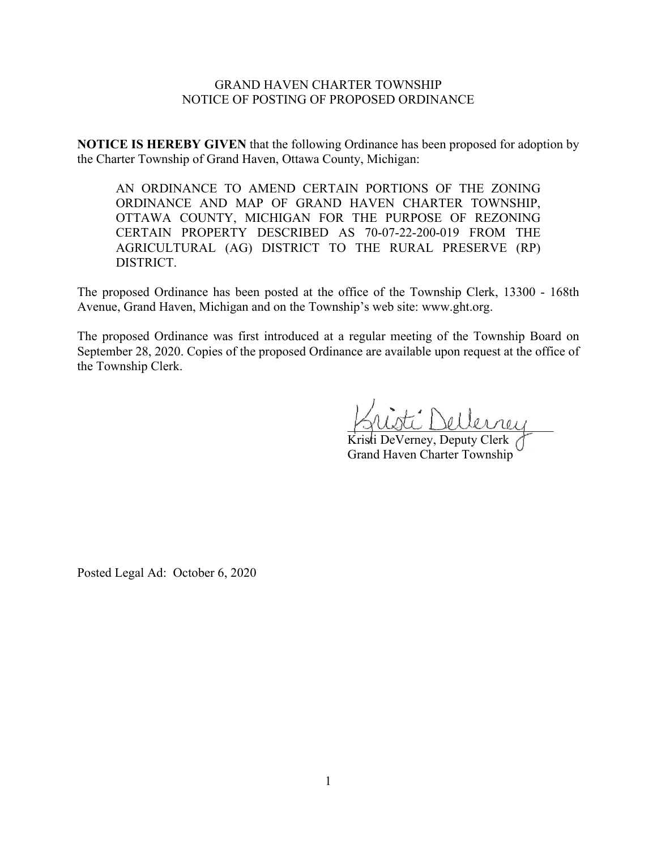## GRAND HAVEN CHARTER TOWNSHIP NOTICE OF POSTING OF PROPOSED ORDINANCE

**NOTICE IS HEREBY GIVEN** that the following Ordinance has been proposed for adoption by the Charter Township of Grand Haven, Ottawa County, Michigan:

AN ORDINANCE TO AMEND CERTAIN PORTIONS OF THE ZONING ORDINANCE AND MAP OF GRAND HAVEN CHARTER TOWNSHIP, OTTAWA COUNTY, MICHIGAN FOR THE PURPOSE OF REZONING CERTAIN PROPERTY DESCRIBED AS 70-07-22-200-019 FROM THE AGRICULTURAL (AG) DISTRICT TO THE RURAL PRESERVE (RP) DISTRICT.

The proposed Ordinance has been posted at the office of the Township Clerk, 13300 - 168th Avenue, Grand Haven, Michigan and on the Township's web site: www.ght.org.

The proposed Ordinance was first introduced at a regular meeting of the Township Board on September 28, 2020. Copies of the proposed Ordinance are available upon request at the office of the Township Clerk.

\_\_\_\_\_\_\_\_\_\_\_\_\_\_\_\_\_\_\_\_\_\_\_\_\_\_\_\_\_\_\_\_

Kristi DeVerney, Deputy Clerk Grand Haven Charter Township

Posted Legal Ad: October 6, 2020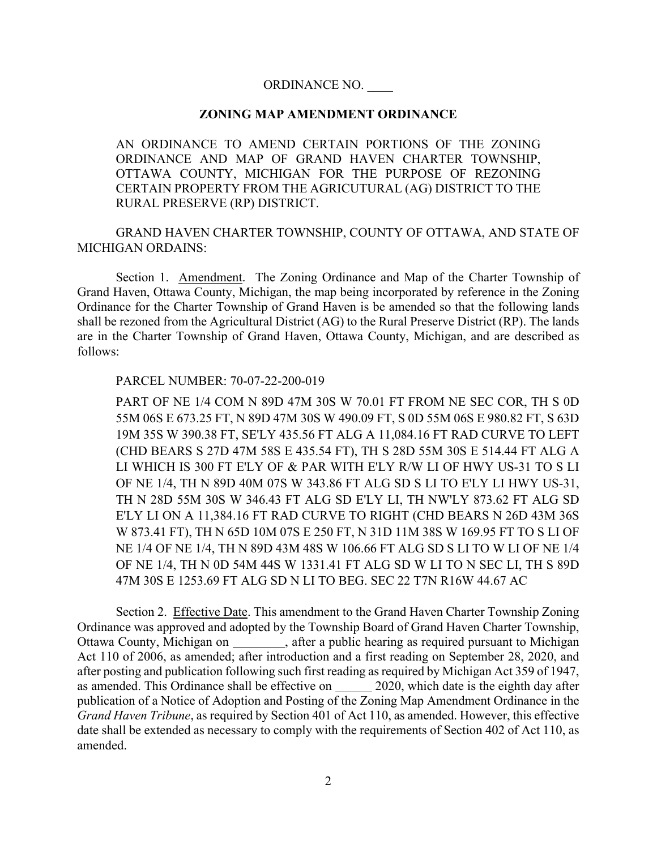### ORDINANCE NO. \_\_\_\_

### **ZONING MAP AMENDMENT ORDINANCE**

AN ORDINANCE TO AMEND CERTAIN PORTIONS OF THE ZONING ORDINANCE AND MAP OF GRAND HAVEN CHARTER TOWNSHIP, OTTAWA COUNTY, MICHIGAN FOR THE PURPOSE OF REZONING CERTAIN PROPERTY FROM THE AGRICUTURAL (AG) DISTRICT TO THE RURAL PRESERVE (RP) DISTRICT.

GRAND HAVEN CHARTER TOWNSHIP, COUNTY OF OTTAWA, AND STATE OF MICHIGAN ORDAINS:

Section 1. Amendment. The Zoning Ordinance and Map of the Charter Township of Grand Haven, Ottawa County, Michigan, the map being incorporated by reference in the Zoning Ordinance for the Charter Township of Grand Haven is be amended so that the following lands shall be rezoned from the Agricultural District (AG) to the Rural Preserve District (RP). The lands are in the Charter Township of Grand Haven, Ottawa County, Michigan, and are described as follows:

#### PARCEL NUMBER: 70-07-22-200-019

PART OF NE 1/4 COM N 89D 47M 30S W 70.01 FT FROM NE SEC COR, TH S 0D 55M 06S E 673.25 FT, N 89D 47M 30S W 490.09 FT, S 0D 55M 06S E 980.82 FT, S 63D 19M 35S W 390.38 FT, SE'LY 435.56 FT ALG A 11,084.16 FT RAD CURVE TO LEFT (CHD BEARS S 27D 47M 58S E 435.54 FT), TH S 28D 55M 30S E 514.44 FT ALG A LI WHICH IS 300 FT E'LY OF & PAR WITH E'LY R/W LI OF HWY US-31 TO S LI OF NE 1/4, TH N 89D 40M 07S W 343.86 FT ALG SD S LI TO E'LY LI HWY US-31, TH N 28D 55M 30S W 346.43 FT ALG SD E'LY LI, TH NW'LY 873.62 FT ALG SD E'LY LI ON A 11,384.16 FT RAD CURVE TO RIGHT (CHD BEARS N 26D 43M 36S W 873.41 FT), TH N 65D 10M 07S E 250 FT, N 31D 11M 38S W 169.95 FT TO S LI OF NE 1/4 OF NE 1/4, TH N 89D 43M 48S W 106.66 FT ALG SD S LI TO W LI OF NE 1/4 OF NE 1/4, TH N 0D 54M 44S W 1331.41 FT ALG SD W LI TO N SEC LI, TH S 89D 47M 30S E 1253.69 FT ALG SD N LI TO BEG. SEC 22 T7N R16W 44.67 AC

Section 2. Effective Date. This amendment to the Grand Haven Charter Township Zoning Ordinance was approved and adopted by the Township Board of Grand Haven Charter Township, Ottawa County, Michigan on \_\_\_\_\_\_\_\_, after a public hearing as required pursuant to Michigan Act 110 of 2006, as amended; after introduction and a first reading on September 28, 2020, and after posting and publication following such first reading as required by Michigan Act 359 of 1947, as amended. This Ordinance shall be effective on 2020, which date is the eighth day after publication of a Notice of Adoption and Posting of the Zoning Map Amendment Ordinance in the *Grand Haven Tribune*, as required by Section 401 of Act 110, as amended. However, this effective date shall be extended as necessary to comply with the requirements of Section 402 of Act 110, as amended.